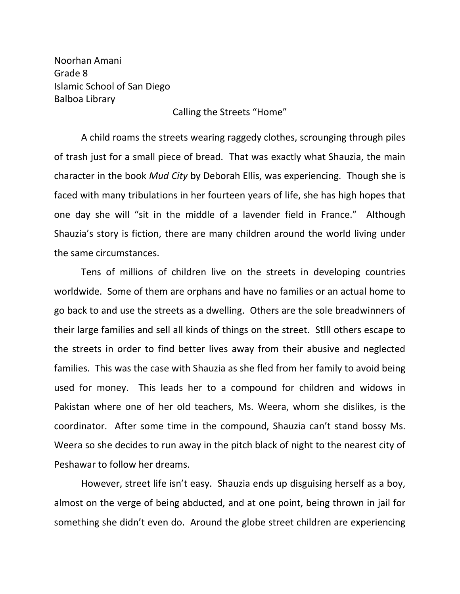Noorhan Amani Grade 8 Islamic School of San Diego Balboa Library

Calling the Streets "Home"

A child roams the streets wearing raggedy clothes, scrounging through piles of trash just for a small piece of bread. That was exactly what Shauzia, the main character in the book *Mud City* by Deborah Ellis, was experiencing. Though she is faced with many tribulations in her fourteen years of life, she has high hopes that one day she will "sit in the middle of a lavender field in France." Although Shauzia's story is fiction, there are many children around the world living under the same circumstances.

Tens of millions of children live on the streets in developing countries worldwide. Some of them are orphans and have no families or an actual home to go back to and use the streets as a dwelling. Others are the sole breadwinners of their large families and sell all kinds of things on the street. Stlll others escape to the streets in order to find better lives away from their abusive and neglected families. This was the case with Shauzia as she fled from her family to avoid being used for money. This leads her to a compound for children and widows in Pakistan where one of her old teachers, Ms. Weera, whom she dislikes, is the coordinator. After some time in the compound, Shauzia can't stand bossy Ms. Weera so she decides to run away in the pitch black of night to the nearest city of Peshawar to follow her dreams.

However, street life isn't easy. Shauzia ends up disguising herself as a boy, almost on the verge of being abducted, and at one point, being thrown in jail for something she didn't even do. Around the globe street children are experiencing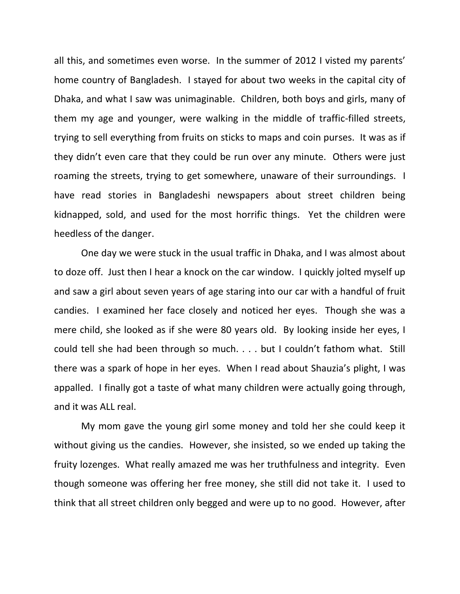all this, and sometimes even worse. In the summer of 2012 I visted my parents' home country of Bangladesh. I stayed for about two weeks in the capital city of Dhaka, and what I saw was unimaginable. Children, both boys and girls, many of them my age and younger, were walking in the middle of traffic-filled streets, trying to sell everything from fruits on sticks to maps and coin purses. It was as if they didn't even care that they could be run over any minute. Others were just roaming the streets, trying to get somewhere, unaware of their surroundings. I have read stories in Bangladeshi newspapers about street children being kidnapped, sold, and used for the most horrific things. Yet the children were heedless of the danger.

One day we were stuck in the usual traffic in Dhaka, and I was almost about to doze off. Just then I hear a knock on the car window. I quickly jolted myself up and saw a girl about seven years of age staring into our car with a handful of fruit candies. I examined her face closely and noticed her eyes. Though she was a mere child, she looked as if she were 80 years old. By looking inside her eyes, I could tell she had been through so much. . . . but I couldn't fathom what. Still there was a spark of hope in her eyes. When I read about Shauzia's plight, I was appalled. I finally got a taste of what many children were actually going through, and it was ALL real.

My mom gave the young girl some money and told her she could keep it without giving us the candies. However, she insisted, so we ended up taking the fruity lozenges. What really amazed me was her truthfulness and integrity. Even though someone was offering her free money, she still did not take it. I used to think that all street children only begged and were up to no good. However, after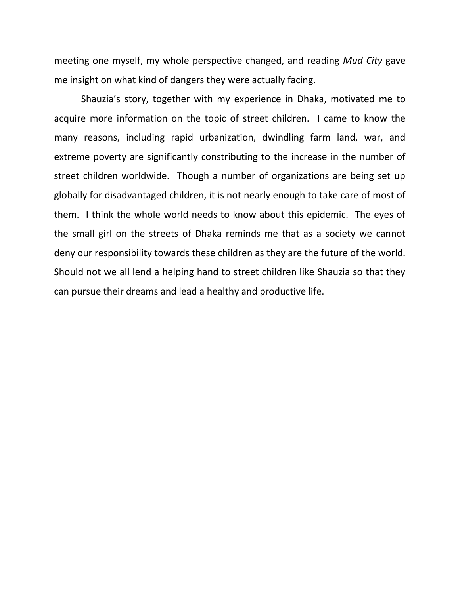meeting one myself, my whole perspective changed, and reading *Mud City* gave me insight on what kind of dangers they were actually facing.

Shauzia's story, together with my experience in Dhaka, motivated me to acquire more information on the topic of street children. I came to know the many reasons, including rapid urbanization, dwindling farm land, war, and extreme poverty are significantly constributing to the increase in the number of street children worldwide. Though a number of organizations are being set up globally for disadvantaged children, it is not nearly enough to take care of most of them. I think the whole world needs to know about this epidemic. The eyes of the small girl on the streets of Dhaka reminds me that as a society we cannot deny our responsibility towards these children as they are the future of the world. Should not we all lend a helping hand to street children like Shauzia so that they can pursue their dreams and lead a healthy and productive life.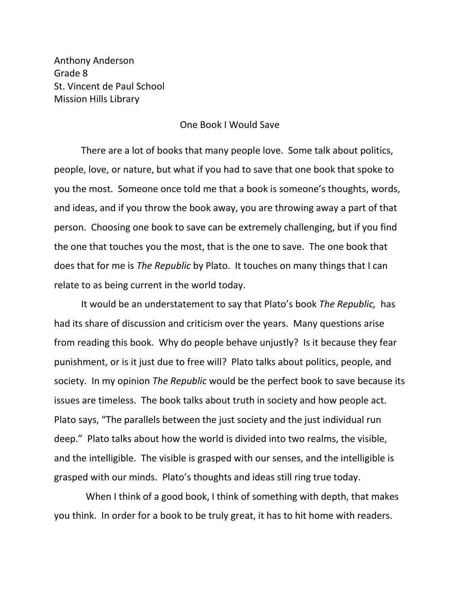Anthony Anderson Grade 8 St. Vincent de Paul School Mission Hills Library

## One Book I Would Save

There are a lot of books that many people love. Some talk about politics, people, love, or nature, but what if you had to save that one book that spoke to you the most. Someone once told me that a book is someone's thoughts, words, and ideas, and if you throw the book away, you are throwing away a part of that person. Choosing one book to save can be extremely challenging, but if you find the one that touches you the most, that is the one to save. The one book that does that for me is *The Republic* by Plato. It touches on many things that I can relate to as being current in the world today.

It would be an understatement to say that Plato's book *The Republic,* has had its share of discussion and criticism over the years. Many questions arise from reading this book. Why do people behave unjustly? Is it because they fear punishment, or is it just due to free will? Plato talks about politics, people, and society. In my opinion *The Republic* would be the perfect book to save because its issues are timeless. The book talks about truth in society and how people act. Plato says, "The parallels between the just society and the just individual run deep." Plato talks about how the world is divided into two realms, the visible, and the intelligible. The visible is grasped with our senses, and the intelligible is grasped with our minds. Plato's thoughts and ideas still ring true today.

 When I think of a good book, I think of something with depth, that makes you think. In order for a book to be truly great, it has to hit home with readers.